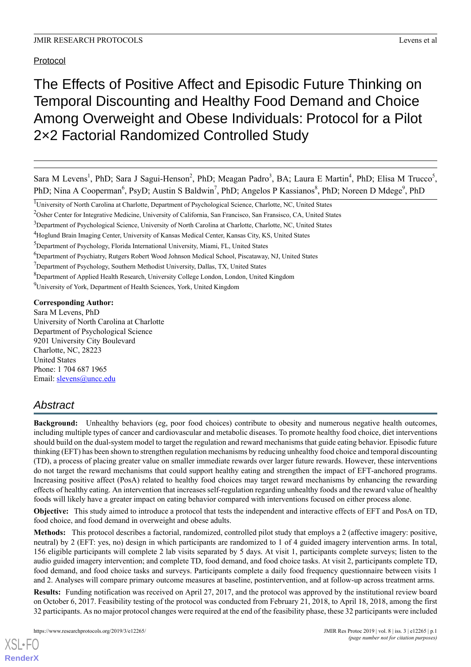Protocol

# The Effects of Positive Affect and Episodic Future Thinking on Temporal Discounting and Healthy Food Demand and Choice Among Overweight and Obese Individuals: Protocol for a Pilot 2×2 Factorial Randomized Controlled Study

Sara M Levens<sup>1</sup>, PhD; Sara J Sagui-Henson<sup>2</sup>, PhD; Meagan Padro<sup>3</sup>, BA; Laura E Martin<sup>4</sup>, PhD; Elisa M Trucco<sup>5</sup>, PhD; Nina A Cooperman<sup>6</sup>, PsyD; Austin S Baldwin<sup>7</sup>, PhD; Angelos P Kassianos<sup>8</sup>, PhD; Noreen D Mdege<sup>9</sup>, PhD

<sup>9</sup>University of York, Department of Health Sciences, York, United Kingdom

**Corresponding Author:**

Sara M Levens, PhD University of North Carolina at Charlotte Department of Psychological Science 9201 University City Boulevard Charlotte, NC, 28223 United States Phone: 1 704 687 1965 Email: [slevens@uncc.edu](mailto:slevens@uncc.edu)

## *Abstract*

**Background:** Unhealthy behaviors (eg, poor food choices) contribute to obesity and numerous negative health outcomes, including multiple types of cancer and cardiovascular and metabolic diseases. To promote healthy food choice, diet interventions should build on the dual-system model to target the regulation and reward mechanisms that guide eating behavior. Episodic future thinking (EFT) has been shown to strengthen regulation mechanisms by reducing unhealthy food choice and temporal discounting (TD), a process of placing greater value on smaller immediate rewards over larger future rewards. However, these interventions do not target the reward mechanisms that could support healthy eating and strengthen the impact of EFT-anchored programs. Increasing positive affect (PosA) related to healthy food choices may target reward mechanisms by enhancing the rewarding effects of healthy eating. An intervention that increases self-regulation regarding unhealthy foods and the reward value of healthy foods will likely have a greater impact on eating behavior compared with interventions focused on either process alone.

**Objective:** This study aimed to introduce a protocol that tests the independent and interactive effects of EFT and PosA on TD, food choice, and food demand in overweight and obese adults.

**Methods:** This protocol describes a factorial, randomized, controlled pilot study that employs a 2 (affective imagery: positive, neutral) by 2 (EFT: yes, no) design in which participants are randomized to 1 of 4 guided imagery intervention arms. In total, 156 eligible participants will complete 2 lab visits separated by 5 days. At visit 1, participants complete surveys; listen to the audio guided imagery intervention; and complete TD, food demand, and food choice tasks. At visit 2, participants complete TD, food demand, and food choice tasks and surveys. Participants complete a daily food frequency questionnaire between visits 1 and 2. Analyses will compare primary outcome measures at baseline, postintervention, and at follow-up across treatment arms.

**Results:** Funding notification was received on April 27, 2017, and the protocol was approved by the institutional review board on October 6, 2017. Feasibility testing of the protocol was conducted from February 21, 2018, to April 18, 2018, among the first 32 participants. As no major protocol changes were required at the end of the feasibility phase, these 32 participants were included

<sup>&</sup>lt;sup>1</sup>University of North Carolina at Charlotte, Department of Psychological Science, Charlotte, NC, United States

<sup>2</sup>Osher Center for Integrative Medicine, University of California, San Francisco, San Fransisco, CA, United States

<sup>&</sup>lt;sup>3</sup>Department of Psychological Science, University of North Carolina at Charlotte, Charlotte, NC, United States

<sup>4</sup>Hoglund Brain Imaging Center, University of Kansas Medical Center, Kansas City, KS, United States

<sup>&</sup>lt;sup>5</sup>Department of Psychology, Florida International University, Miami, FL, United States

<sup>6</sup>Department of Psychiatry, Rutgers Robert Wood Johnson Medical School, Piscataway, NJ, United States

<sup>&</sup>lt;sup>7</sup>Department of Psychology, Southern Methodist University, Dallas, TX, United States

<sup>8</sup>Department of Applied Health Research, University College London, London, United Kingdom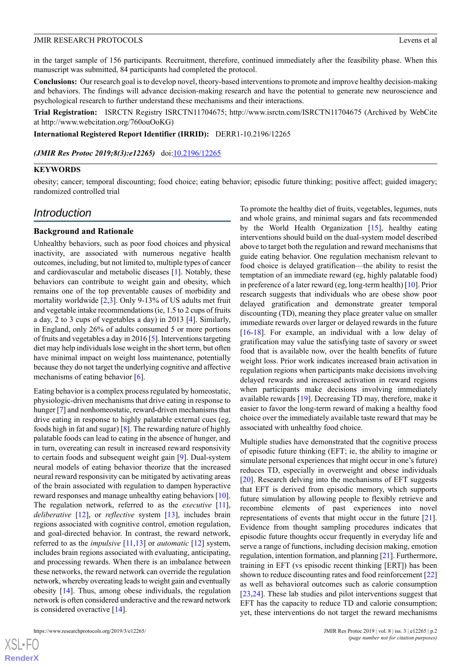in the target sample of 156 participants. Recruitment, therefore, continued immediately after the feasibility phase. When this manuscript was submitted, 84 participants had completed the protocol.

**Conclusions:** Our research goal is to develop novel, theory-based interventions to promote and improve healthy decision-making and behaviors. The findings will advance decision-making research and have the potential to generate new neuroscience and psychological research to further understand these mechanisms and their interactions.

**Trial Registration:** ISRCTN Registry ISRCTN11704675; http://www.isrctn.com/ISRCTN11704675 (Archived by WebCite at http://www.webcitation.org/760ouOoKG)

**International Registered Report Identifier (IRRID):** DERR1-10.2196/12265

*(JMIR Res Protoc 2019;8(3):e12265)* doi: $10.2196/12265$ 

#### **KEYWORDS**

obesity; cancer; temporal discounting; food choice; eating behavior; episodic future thinking; positive affect; guided imagery; randomized controlled trial

## *Introduction*

#### **Background and Rationale**

Unhealthy behaviors, such as poor food choices and physical inactivity, are associated with numerous negative health outcomes, including, but not limited to, multiple types of cancer and cardiovascular and metabolic diseases [\[1](#page-10-0)]. Notably, these behaviors can contribute to weight gain and obesity, which remains one of the top preventable causes of morbidity and mortality worldwide [[2,](#page-10-1)[3](#page-10-2)]. Only 9-13% of US adults met fruit and vegetable intake recommendations (ie, 1.5 to 2 cups of fruits a day, 2 to 3 cups of vegetables a day) in 2013 [[4\]](#page-10-3). Similarly, in England, only 26% of adults consumed 5 or more portions of fruits and vegetables a day in 2016 [\[5](#page-10-4)]. Interventions targeting diet may help individuals lose weight in the short term, but often have minimal impact on weight loss maintenance, potentially because they do not target the underlying cognitive and affective mechanisms of eating behavior [[6\]](#page-10-5).

Eating behavior is a complex process regulated by homeostatic, physiologic-driven mechanisms that drive eating in response to hunger [\[7](#page-10-6)] and nonhomeostatic, reward-driven mechanisms that drive eating in response to highly palatable external cues (eg, foods high in fat and sugar) [[8\]](#page-10-7). The rewarding nature of highly palatable foods can lead to eating in the absence of hunger, and in turn, overeating can result in increased reward responsivity to certain foods and subsequent weight gain [\[9](#page-10-8)]. Dual-system neural models of eating behavior theorize that the increased neural reward responsivity can be mitigated by activating areas of the brain associated with regulation to dampen hyperactive reward responses and manage unhealthy eating behaviors [[10\]](#page-10-9). The regulation network, referred to as the *executive* [\[11\]](#page-10-10), *deliberative* [[12\]](#page-10-11), or *reflective* system [[13\]](#page-10-12), includes brain regions associated with cognitive control, emotion regulation, and goal-directed behavior. In contrast, the reward network, referred to as the *impulsive* [\[11,](#page-10-10)[13](#page-10-12)] or *automatic* [\[12](#page-10-11)] system, includes brain regions associated with evaluating, anticipating, and processing rewards. When there is an imbalance between these networks, the reward network can override the regulation network, whereby overeating leads to weight gain and eventually obesity [[14\]](#page-10-13). Thus, among obese individuals, the regulation network is often considered underactive and the reward network is considered overactive [[14\]](#page-10-13).

To promote the healthy diet of fruits, vegetables, legumes, nuts and whole grains, and minimal sugars and fats recommended by the World Health Organization [[15\]](#page-10-14), healthy eating interventions should build on the dual-system model described above to target both the regulation and reward mechanisms that guide eating behavior. One regulation mechanism relevant to food choice is delayed gratification—the ability to resist the temptation of an immediate reward (eg, highly palatable food) in preference of a later reward (eg, long-term health) [[10\]](#page-10-9). Prior research suggests that individuals who are obese show poor delayed gratification and demonstrate greater temporal discounting (TD), meaning they place greater value on smaller immediate rewards over larger or delayed rewards in the future [[16](#page-10-15)[-18](#page-11-0)]. For example, an individual with a low delay of gratification may value the satisfying taste of savory or sweet food that is available now, over the health benefits of future weight loss. Prior work indicates increased brain activation in regulation regions when participants make decisions involving delayed rewards and increased activation in reward regions when participants make decisions involving immediately available rewards [\[19](#page-11-1)]. Decreasing TD may, therefore, make it easier to favor the long-term reward of making a healthy food choice over the immediately available taste reward that may be associated with unhealthy food choice.

Multiple studies have demonstrated that the cognitive process of episodic future thinking (EFT; ie, the ability to imagine or simulate personal experiences that might occur in one's future) reduces TD, especially in overweight and obese individuals [[20\]](#page-11-2). Research delving into the mechanisms of EFT suggests that EFT is derived from episodic memory, which supports future simulation by allowing people to flexibly retrieve and recombine elements of past experiences into novel representations of events that might occur in the future [[21\]](#page-11-3). Evidence from thought sampling procedures indicates that episodic future thoughts occur frequently in everyday life and serve a range of functions, including decision making, emotion regulation, intention formation, and planning [[21\]](#page-11-3). Furthermore, training in EFT (vs episodic recent thinking [ERT]) has been shown to reduce discounting rates and food reinforcement [\[22](#page-11-4)] as well as behavioral outcomes such as calorie consumption [[23,](#page-11-5)[24\]](#page-11-6). These lab studies and pilot interventions suggest that EFT has the capacity to reduce TD and calorie consumption; yet, these interventions do not target the reward mechanisms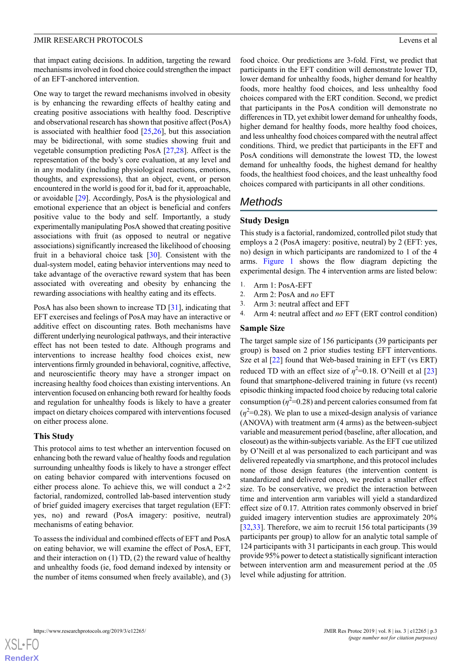that impact eating decisions. In addition, targeting the reward mechanisms involved in food choice could strengthen the impact of an EFT-anchored intervention.

One way to target the reward mechanisms involved in obesity is by enhancing the rewarding effects of healthy eating and creating positive associations with healthy food. Descriptive and observational research has shown that positive affect (PosA) is associated with healthier food [[25,](#page-11-7)[26](#page-11-8)], but this association may be bidirectional, with some studies showing fruit and vegetable consumption predicting PosA [\[27](#page-11-9)[,28](#page-11-10)]. Affect is the representation of the body's core evaluation, at any level and in any modality (including physiological reactions, emotions, thoughts, and expressions), that an object, event, or person encountered in the world is good for it, bad for it, approachable, or avoidable [[29\]](#page-11-11). Accordingly, PosA is the physiological and emotional experience that an object is beneficial and confers positive value to the body and self. Importantly, a study experimentally manipulating PosA showed that creating positive associations with fruit (as opposed to neutral or negative associations) significantly increased the likelihood of choosing fruit in a behavioral choice task [[30\]](#page-11-12). Consistent with the dual-system model, eating behavior interventions may need to take advantage of the overactive reward system that has been associated with overeating and obesity by enhancing the rewarding associations with healthy eating and its effects.

PosA has also been shown to increase TD [[31\]](#page-11-13), indicating that EFT exercises and feelings of PosA may have an interactive or additive effect on discounting rates. Both mechanisms have different underlying neurological pathways, and their interactive effect has not been tested to date. Although programs and interventions to increase healthy food choices exist, new interventions firmly grounded in behavioral, cognitive, affective, and neuroscientific theory may have a stronger impact on increasing healthy food choices than existing interventions. An intervention focused on enhancing both reward for healthy foods and regulation for unhealthy foods is likely to have a greater impact on dietary choices compared with interventions focused on either process alone.

#### **This Study**

This protocol aims to test whether an intervention focused on enhancing both the reward value of healthy foods and regulation surrounding unhealthy foods is likely to have a stronger effect on eating behavior compared with interventions focused on either process alone. To achieve this, we will conduct a  $2\times 2$ factorial, randomized, controlled lab-based intervention study of brief guided imagery exercises that target regulation (EFT: yes, no) and reward (PosA imagery: positive, neutral) mechanisms of eating behavior.

To assess the individual and combined effects of EFT and PosA on eating behavior, we will examine the effect of PosA, EFT, and their interaction on (1) TD, (2) the reward value of healthy and unhealthy foods (ie, food demand indexed by intensity or the number of items consumed when freely available), and (3)

food choice. Our predictions are 3-fold. First, we predict that participants in the EFT condition will demonstrate lower TD, lower demand for unhealthy foods, higher demand for healthy foods, more healthy food choices, and less unhealthy food choices compared with the ERT condition. Second, we predict that participants in the PosA condition will demonstrate no differences in TD, yet exhibit lower demand for unhealthy foods, higher demand for healthy foods, more healthy food choices, and less unhealthy food choices compared with the neutral affect conditions. Third, we predict that participants in the EFT and PosA conditions will demonstrate the lowest TD, the lowest demand for unhealthy foods, the highest demand for healthy foods, the healthiest food choices, and the least unhealthy food choices compared with participants in all other conditions.

## *Methods*

#### **Study Design**

This study is a factorial, randomized, controlled pilot study that employs a 2 (PosA imagery: positive, neutral) by 2 (EFT: yes, no) design in which participants are randomized to 1 of the 4 arms. [Figure 1](#page-3-0) shows the flow diagram depicting the experimental design. The 4 intervention arms are listed below:

- 1. Arm 1: PosA-EFT
- 2. Arm 2: PosA and *no* EFT
- 3. Arm 3: neutral affect and EFT
- 4. Arm 4: neutral affect and *no* EFT (ERT control condition)

#### **Sample Size**

The target sample size of 156 participants (39 participants per group) is based on 2 prior studies testing EFT interventions. Sze et al  $[22]$  $[22]$  found that Web-based training in EFT (vs ERT) reduced TD with an effect size of  $\eta^2$ =0.18. O'Neill et al [\[23](#page-11-5)] found that smartphone-delivered training in future (vs recent) episodic thinking impacted food choice by reducing total calorie consumption  $(\eta^2=0.28)$  and percent calories consumed from fat  $(\eta^2$ =0.28). We plan to use a mixed-design analysis of variance (ANOVA) with treatment arm (4 arms) as the between-subject variable and measurement period (baseline, after allocation, and closeout) as the within-subjects variable. As the EFT cue utilized by O'Neill et al was personalized to each participant and was delivered repeatedly via smartphone, and this protocol includes none of those design features (the intervention content is standardized and delivered once), we predict a smaller effect size. To be conservative, we predict the interaction between time and intervention arm variables will yield a standardized effect size of 0.17. Attrition rates commonly observed in brief guided imagery intervention studies are approximately 20% [[32,](#page-11-14)[33\]](#page-11-15). Therefore, we aim to recruit 156 total participants (39) participants per group) to allow for an analytic total sample of 124 participants with 31 participants in each group. This would provide 95% power to detect a statistically significant interaction between intervention arm and measurement period at the .05 level while adjusting for attrition.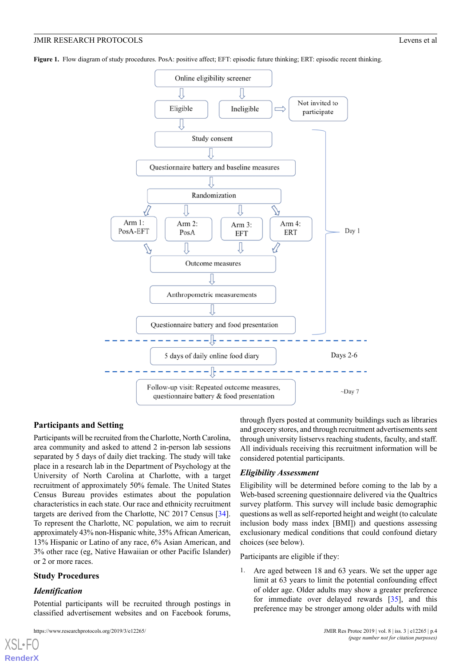<span id="page-3-0"></span>**Figure 1.** Flow diagram of study procedures. PosA: positive affect; EFT: episodic future thinking; ERT: episodic recent thinking.



#### **Participants and Setting**

Participants will be recruited from the Charlotte, North Carolina, area community and asked to attend 2 in-person lab sessions separated by 5 days of daily diet tracking. The study will take place in a research lab in the Department of Psychology at the University of North Carolina at Charlotte, with a target recruitment of approximately 50% female. The United States Census Bureau provides estimates about the population characteristics in each state. Our race and ethnicity recruitment targets are derived from the Charlotte, NC 2017 Census [[34\]](#page-11-16). To represent the Charlotte, NC population, we aim to recruit approximately 43% non-Hispanic white, 35% African American, 13% Hispanic or Latino of any race, 6% Asian American, and 3% other race (eg, Native Hawaiian or other Pacific Islander) or 2 or more races.

#### **Study Procedures**

#### *Identification*

[XSL](http://www.w3.org/Style/XSL)•FO **[RenderX](http://www.renderx.com/)**

Potential participants will be recruited through postings in classified advertisement websites and on Facebook forums,

https://www.researchprotocols.org/2019/3/e12265/ JMIR Res Protoc 2019 | vol. 8 | iss. 3 | e12265 | p.4

through flyers posted at community buildings such as libraries and grocery stores, and through recruitment advertisements sent through university listservs reaching students, faculty, and staff. All individuals receiving this recruitment information will be considered potential participants.

#### *Eligibility Assessment*

Eligibility will be determined before coming to the lab by a Web-based screening questionnaire delivered via the Qualtrics survey platform. This survey will include basic demographic questions as well as self-reported height and weight (to calculate inclusion body mass index [BMI]) and questions assessing exclusionary medical conditions that could confound dietary choices (see below).

Participants are eligible if they:

1. Are aged between 18 and 63 years. We set the upper age limit at 63 years to limit the potential confounding effect of older age. Older adults may show a greater preference for immediate over delayed rewards [[35\]](#page-11-17), and this preference may be stronger among older adults with mild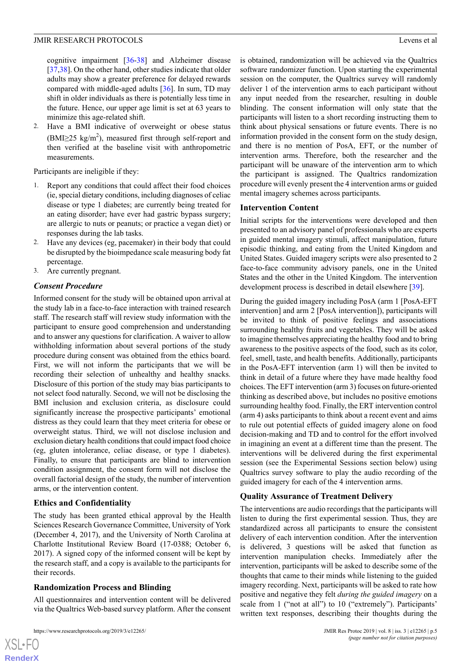cognitive impairment [[36-](#page-11-18)[38\]](#page-11-19) and Alzheimer disease [[37](#page-11-20)[,38](#page-11-19)]. On the other hand, other studies indicate that older adults may show a greater preference for delayed rewards compared with middle-aged adults [[36\]](#page-11-18). In sum, TD may shift in older individuals as there is potentially less time in the future. Hence, our upper age limit is set at 63 years to minimize this age-related shift.

2. Have a BMI indicative of overweight or obese status  $(BMI \geq 25 \text{ kg/m}^2)$ , measured first through self-report and then verified at the baseline visit with anthropometric measurements.

Participants are ineligible if they:

- 1. Report any conditions that could affect their food choices (ie, special dietary conditions, including diagnoses of celiac disease or type 1 diabetes; are currently being treated for an eating disorder; have ever had gastric bypass surgery; are allergic to nuts or peanuts; or practice a vegan diet) or responses during the lab tasks.
- 2. Have any devices (eg, pacemaker) in their body that could be disrupted by the bioimpedance scale measuring body fat percentage.
- 3. Are currently pregnant.

## *Consent Procedure*

Informed consent for the study will be obtained upon arrival at the study lab in a face-to-face interaction with trained research staff. The research staff will review study information with the participant to ensure good comprehension and understanding and to answer any questions for clarification. A waiver to allow withholding information about several portions of the study procedure during consent was obtained from the ethics board. First, we will not inform the participants that we will be recording their selection of unhealthy and healthy snacks. Disclosure of this portion of the study may bias participants to not select food naturally. Second, we will not be disclosing the BMI inclusion and exclusion criteria, as disclosure could significantly increase the prospective participants' emotional distress as they could learn that they meet criteria for obese or overweight status. Third, we will not disclose inclusion and exclusion dietary health conditions that could impact food choice (eg, gluten intolerance, celiac disease, or type 1 diabetes). Finally, to ensure that participants are blind to intervention condition assignment, the consent form will not disclose the overall factorial design of the study, the number of intervention arms, or the intervention content.

## **Ethics and Confidentiality**

The study has been granted ethical approval by the Health Sciences Research Governance Committee, University of York (December 4, 2017), and the University of North Carolina at Charlotte Institutional Review Board (17-0388; October 6, 2017). A signed copy of the informed consent will be kept by the research staff, and a copy is available to the participants for their records.

## **Randomization Process and Blinding**

All questionnaires and intervention content will be delivered via the Qualtrics Web-based survey platform. After the consent is obtained, randomization will be achieved via the Qualtrics software randomizer function. Upon starting the experimental session on the computer, the Qualtrics survey will randomly deliver 1 of the intervention arms to each participant without any input needed from the researcher, resulting in double blinding. The consent information will only state that the participants will listen to a short recording instructing them to think about physical sensations or future events. There is no information provided in the consent form on the study design, and there is no mention of PosA, EFT, or the number of intervention arms. Therefore, both the researcher and the participant will be unaware of the intervention arm to which the participant is assigned. The Qualtrics randomization procedure will evenly present the 4 intervention arms or guided mental imagery schemes across participants.

## **Intervention Content**

Initial scripts for the interventions were developed and then presented to an advisory panel of professionals who are experts in guided mental imagery stimuli, affect manipulation, future episodic thinking, and eating from the United Kingdom and United States. Guided imagery scripts were also presented to 2 face-to-face community advisory panels, one in the United States and the other in the United Kingdom. The intervention development process is described in detail elsewhere [[39\]](#page-11-21).

During the guided imagery including PosA (arm 1 [PosA-EFT intervention] and arm 2 [PosA intervention]), participants will be invited to think of positive feelings and associations surrounding healthy fruits and vegetables. They will be asked to imagine themselves appreciating the healthy food and to bring awareness to the positive aspects of the food, such as its color, feel, smell, taste, and health benefits. Additionally, participants in the PosA-EFT intervention (arm 1) will then be invited to think in detail of a future where they have made healthy food choices. The EFT intervention (arm 3) focuses on future-oriented thinking as described above, but includes no positive emotions surrounding healthy food. Finally, the ERT intervention control (arm 4) asks participants to think about a recent event and aims to rule out potential effects of guided imagery alone on food decision-making and TD and to control for the effort involved in imagining an event at a different time than the present. The interventions will be delivered during the first experimental session (see the Experimental Sessions section below) using Qualtrics survey software to play the audio recording of the guided imagery for each of the 4 intervention arms.

## **Quality Assurance of Treatment Delivery**

The interventions are audio recordings that the participants will listen to during the first experimental session. Thus, they are standardized across all participants to ensure the consistent delivery of each intervention condition. After the intervention is delivered, 3 questions will be asked that function as intervention manipulation checks. Immediately after the intervention, participants will be asked to describe some of the thoughts that came to their minds while listening to the guided imagery recording. Next, participants will be asked to rate how positive and negative they felt *during the guided imagery* on a scale from 1 ("not at all") to 10 ("extremely"). Participants' written text responses, describing their thoughts during the

```
XSI - F(RenderX
```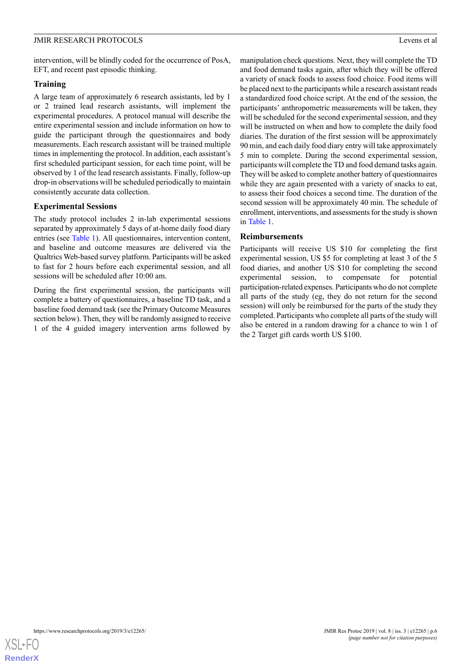intervention, will be blindly coded for the occurrence of PosA, EFT, and recent past episodic thinking.

#### **Training**

A large team of approximately 6 research assistants, led by 1 or 2 trained lead research assistants, will implement the experimental procedures. A protocol manual will describe the entire experimental session and include information on how to guide the participant through the questionnaires and body measurements. Each research assistant will be trained multiple times in implementing the protocol. In addition, each assistant's first scheduled participant session, for each time point, will be observed by 1 of the lead research assistants. Finally, follow-up drop-in observations will be scheduled periodically to maintain consistently accurate data collection.

#### **Experimental Sessions**

The study protocol includes 2 in-lab experimental sessions separated by approximately 5 days of at-home daily food diary entries (see [Table 1](#page-6-0)). All questionnaires, intervention content, and baseline and outcome measures are delivered via the Qualtrics Web-based survey platform. Participants will be asked to fast for 2 hours before each experimental session, and all sessions will be scheduled after 10:00 am.

During the first experimental session, the participants will complete a battery of questionnaires, a baseline TD task, and a baseline food demand task (see the Primary Outcome Measures section below). Then, they will be randomly assigned to receive 1 of the 4 guided imagery intervention arms followed by

manipulation check questions. Next, they will complete the TD and food demand tasks again, after which they will be offered a variety of snack foods to assess food choice. Food items will be placed next to the participants while a research assistant reads a standardized food choice script. At the end of the session, the participants' anthropometric measurements will be taken, they will be scheduled for the second experimental session, and they will be instructed on when and how to complete the daily food diaries. The duration of the first session will be approximately 90 min, and each daily food diary entry will take approximately 5 min to complete. During the second experimental session, participants will complete the TD and food demand tasks again. They will be asked to complete another battery of questionnaires while they are again presented with a variety of snacks to eat, to assess their food choices a second time. The duration of the second session will be approximately 40 min. The schedule of enrollment, interventions, and assessments for the study is shown in [Table 1](#page-6-0).

#### **Reimbursements**

Participants will receive US \$10 for completing the first experimental session, US \$5 for completing at least 3 of the 5 food diaries, and another US \$10 for completing the second experimental session, to compensate for potential participation-related expenses. Participants who do not complete all parts of the study (eg, they do not return for the second session) will only be reimbursed for the parts of the study they completed. Participants who complete all parts of the study will also be entered in a random drawing for a chance to win 1 of the 2 Target gift cards worth US \$100.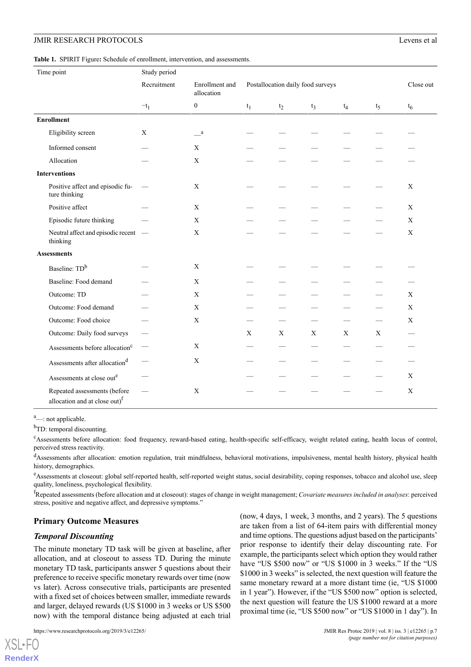<span id="page-6-0"></span>**Table 1.** SPIRIT Figure**:** Schedule of enrollment, intervention, and assessments.

| Time point                                                                |                                            | Study period             |                              |                                   |             |             |             |       |              |
|---------------------------------------------------------------------------|--------------------------------------------|--------------------------|------------------------------|-----------------------------------|-------------|-------------|-------------|-------|--------------|
|                                                                           |                                            | Recruitment              | Enrollment and<br>allocation | Postallocation daily food surveys |             |             |             |       | Close out    |
|                                                                           |                                            | $-t_1$                   | $\mathbf{0}$                 | $t_1$                             | $t_2$       | $t_3$       | $t_4$       | $t_5$ | $t_6$        |
| <b>Enrollment</b>                                                         |                                            |                          |                              |                                   |             |             |             |       |              |
| Eligibility screen                                                        |                                            | $\mathbf{X}$             | $\mathbf{a}$                 |                                   |             |             |             |       |              |
| Informed consent                                                          |                                            |                          | X                            |                                   |             |             |             |       |              |
| Allocation                                                                |                                            |                          | $\mathbf X$                  |                                   |             |             |             |       |              |
| <b>Interventions</b>                                                      |                                            |                          |                              |                                   |             |             |             |       |              |
| ture thinking                                                             | Positive affect and episodic fu-           | $\overline{\phantom{m}}$ | $\boldsymbol{\mathrm{X}}$    |                                   |             |             |             |       | X            |
| Positive affect                                                           |                                            |                          | X                            |                                   |             |             |             |       | X            |
| Episodic future thinking                                                  |                                            |                          | $\mathbf X$                  |                                   |             |             |             |       | $\mathbf{X}$ |
| thinking                                                                  | Neutral affect and episodic recent —       |                          | X                            |                                   |             |             |             |       | X            |
| <b>Assessments</b>                                                        |                                            |                          |                              |                                   |             |             |             |       |              |
| Baseline: TD <sup>b</sup>                                                 |                                            |                          | X                            |                                   |             |             |             |       |              |
| Baseline: Food demand                                                     |                                            |                          | $\mathbf X$                  |                                   |             |             |             |       |              |
| Outcome: TD                                                               |                                            |                          | X                            |                                   |             |             |             |       | $\mathbf{X}$ |
| Outcome: Food demand                                                      |                                            |                          | $\mathbf X$                  |                                   |             |             |             |       | X            |
| Outcome: Food choice                                                      |                                            |                          | $\mathbf X$                  |                                   |             |             |             |       | $\mathbf X$  |
| Outcome: Daily food surveys                                               |                                            |                          |                              | X                                 | $\mathbf X$ | $\mathbf X$ | $\mathbf X$ | X     |              |
|                                                                           | Assessments before allocation <sup>c</sup> | $\overline{\phantom{0}}$ | X                            |                                   |             |             |             |       |              |
| Assessments after allocation <sup>d</sup>                                 |                                            |                          | $\mathbf X$                  |                                   |             |             |             |       |              |
| Assessments at close out <sup>e</sup>                                     |                                            |                          |                              |                                   |             |             |             |       | $\mathbf X$  |
| Repeated assessments (before<br>allocation and at close out) <sup>f</sup> |                                            |                          | $\mathbf X$                  |                                   |             |             |             |       | X            |

<sup>a</sup>—: not applicable.

<sup>b</sup>TD: temporal discounting.

<sup>c</sup>Assessments before allocation: food frequency, reward-based eating, health-specific self-efficacy, weight related eating, health locus of control, perceived stress reactivity.

<sup>d</sup>Assessments after allocation: emotion regulation, trait mindfulness, behavioral motivations, impulsiveness, mental health history, physical health history, demographics.

<sup>e</sup>Assessments at closeout: global self-reported health, self-reported weight status, social desirability, coping responses, tobacco and alcohol use, sleep quality, loneliness, psychological flexibility.

<sup>f</sup>Repeated assessments (before allocation and at closeout): stages of change in weight management; *Covariate measures included in analyses*: perceived stress, positive and negative affect, and depressive symptoms."

## **Primary Outcome Measures**

## *Temporal Discounting*

The minute monetary TD task will be given at baseline, after allocation, and at closeout to assess TD. During the minute monetary TD task, participants answer 5 questions about their preference to receive specific monetary rewards over time (now vs later). Across consecutive trials, participants are presented with a fixed set of choices between smaller, immediate rewards and larger, delayed rewards (US \$1000 in 3 weeks or US \$500 now) with the temporal distance being adjusted at each trial

(now, 4 days, 1 week, 3 months, and 2 years). The 5 questions are taken from a list of 64-item pairs with differential money and time options. The questions adjust based on the participants' prior response to identify their delay discounting rate. For example, the participants select which option they would rather have "US \$500 now" or "US \$1000 in 3 weeks." If the "US \$1000 in 3 weeks" is selected, the next question will feature the same monetary reward at a more distant time (ie, "US \$1000 in 1 year"). However, if the "US \$500 now" option is selected, the next question will feature the US \$1000 reward at a more proximal time (ie, "US \$500 now" or "US \$1000 in 1 day"). In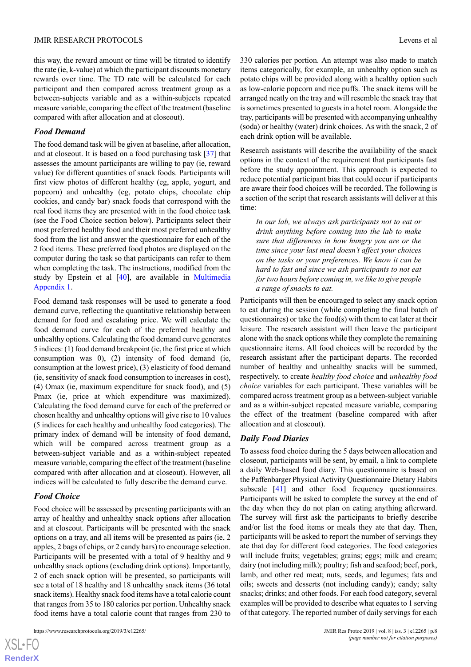this way, the reward amount or time will be titrated to identify the rate (ie, k-value) at which the participant discounts monetary rewards over time. The TD rate will be calculated for each participant and then compared across treatment group as a between-subjects variable and as a within-subjects repeated measure variable, comparing the effect of the treatment (baseline compared with after allocation and at closeout).

#### *Food Demand*

The food demand task will be given at baseline, after allocation, and at closeout. It is based on a food purchasing task [[37\]](#page-11-20) that assesses the amount participants are willing to pay (ie, reward value) for different quantities of snack foods. Participants will first view photos of different healthy (eg, apple, yogurt, and popcorn) and unhealthy (eg, potato chips, chocolate chip cookies, and candy bar) snack foods that correspond with the real food items they are presented with in the food choice task (see the Food Choice section below). Participants select their most preferred healthy food and their most preferred unhealthy food from the list and answer the questionnaire for each of the 2 food items. These preferred food photos are displayed on the computer during the task so that participants can refer to them when completing the task. The instructions, modified from the study by Epstein et al [\[40](#page-12-0)], are available in [Multimedia](#page-10-16) [Appendix 1](#page-10-16).

Food demand task responses will be used to generate a food demand curve, reflecting the quantitative relationship between demand for food and escalating price. We will calculate the food demand curve for each of the preferred healthy and unhealthy options. Calculating the food demand curve generates 5 indices: (1) food demand breakpoint (ie, the first price at which consumption was 0), (2) intensity of food demand (ie, consumption at the lowest price), (3) elasticity of food demand (ie, sensitivity of snack food consumption to increases in cost), (4) Omax (ie, maximum expenditure for snack food), and (5) Pmax (ie, price at which expenditure was maximized). Calculating the food demand curve for each of the preferred or chosen healthy and unhealthy options will give rise to 10 values (5 indices for each healthy and unhealthy food categories). The primary index of demand will be intensity of food demand, which will be compared across treatment group as a between-subject variable and as a within-subject repeated measure variable, comparing the effect of the treatment (baseline compared with after allocation and at closeout). However, all indices will be calculated to fully describe the demand curve.

#### *Food Choice*

 $XS$ -FO **[RenderX](http://www.renderx.com/)**

Food choice will be assessed by presenting participants with an array of healthy and unhealthy snack options after allocation and at closeout. Participants will be presented with the snack options on a tray, and all items will be presented as pairs (ie, 2 apples, 2 bags of chips, or 2 candy bars) to encourage selection. Participants will be presented with a total of 9 healthy and 9 unhealthy snack options (excluding drink options). Importantly, 2 of each snack option will be presented, so participants will see a total of 18 healthy and 18 unhealthy snack items (36 total snack items). Healthy snack food items have a total calorie count that ranges from 35 to 180 calories per portion. Unhealthy snack food items have a total calorie count that ranges from 230 to

330 calories per portion. An attempt was also made to match items categorically, for example, an unhealthy option such as potato chips will be provided along with a healthy option such as low-calorie popcorn and rice puffs. The snack items will be arranged neatly on the tray and will resemble the snack tray that is sometimes presented to guests in a hotel room. Alongside the tray, participants will be presented with accompanying unhealthy (soda) or healthy (water) drink choices. As with the snack, 2 of each drink option will be available.

Research assistants will describe the availability of the snack options in the context of the requirement that participants fast before the study appointment. This approach is expected to reduce potential participant bias that could occur if participants are aware their food choices will be recorded. The following is a section of the script that research assistants will deliver at this time:

*In our lab, we always ask participants not to eat or drink anything before coming into the lab to make sure that differences in how hungry you are or the time since your last meal doesn't affect your choices on the tasks or your preferences. We know it can be hard to fast and since we ask participants to not eat for two hours before coming in, we like to give people a range of snacks to eat.*

Participants will then be encouraged to select any snack option to eat during the session (while completing the final batch of questionnaires) or take the food(s) with them to eat later at their leisure. The research assistant will then leave the participant alone with the snack options while they complete the remaining questionnaire items. All food choices will be recorded by the research assistant after the participant departs. The recorded number of healthy and unhealthy snacks will be summed, respectively, to create *healthy food choice* and *unhealthy food choice* variables for each participant. These variables will be compared across treatment group as a between-subject variable and as a within-subject repeated measure variable, comparing the effect of the treatment (baseline compared with after allocation and at closeout).

#### *Daily Food Diaries*

To assess food choice during the 5 days between allocation and closeout, participants will be sent, by email, a link to complete a daily Web-based food diary. This questionnaire is based on the Paffenbarger Physical Activity Questionnaire Dietary Habits subscale [\[41](#page-12-1)] and other food frequency questionnaires. Participants will be asked to complete the survey at the end of the day when they do not plan on eating anything afterward. The survey will first ask the participants to briefly describe and/or list the food items or meals they ate that day. Then, participants will be asked to report the number of servings they ate that day for different food categories. The food categories will include fruits; vegetables; grains; eggs; milk and cream; dairy (not including milk); poultry; fish and seafood; beef, pork, lamb, and other red meat; nuts, seeds, and legumes; fats and oils; sweets and desserts (not including candy); candy; salty snacks; drinks; and other foods. For each food category, several examples will be provided to describe what equates to 1 serving of that category. The reported number of daily servings for each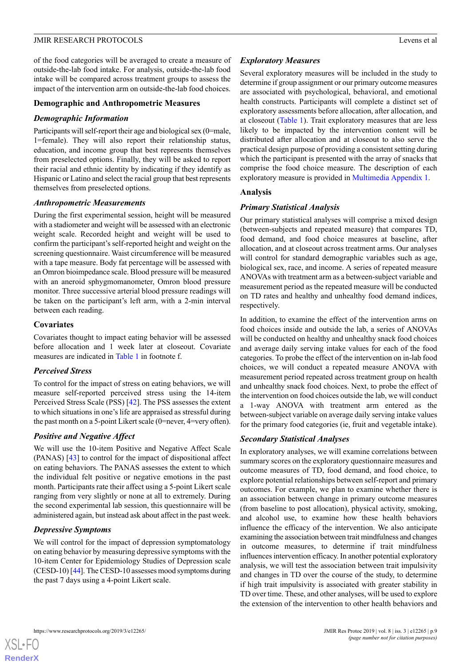of the food categories will be averaged to create a measure of outside-the-lab food intake. For analysis, outside-the-lab food intake will be compared across treatment groups to assess the impact of the intervention arm on outside-the-lab food choices.

#### **Demographic and Anthropometric Measures**

#### *Demographic Information*

Participants will self-report their age and biological sex (0=male, 1=female). They will also report their relationship status, education, and income group that best represents themselves from preselected options. Finally, they will be asked to report their racial and ethnic identity by indicating if they identify as Hispanic or Latino and select the racial group that best represents themselves from preselected options.

#### *Anthropometric Measurements*

During the first experimental session, height will be measured with a stadiometer and weight will be assessed with an electronic weight scale. Recorded height and weight will be used to confirm the participant's self-reported height and weight on the screening questionnaire. Waist circumference will be measured with a tape measure. Body fat percentage will be assessed with an Omron bioimpedance scale. Blood pressure will be measured with an aneroid sphygmomanometer, Omron blood pressure monitor. Three successive arterial blood pressure readings will be taken on the participant's left arm, with a 2-min interval between each reading.

#### **Covariates**

Covariates thought to impact eating behavior will be assessed before allocation and 1 week later at closeout. Covariate measures are indicated in [Table 1](#page-6-0) in footnote f.

#### *Perceived Stress*

To control for the impact of stress on eating behaviors, we will measure self-reported perceived stress using the 14-item Perceived Stress Scale (PSS) [\[42](#page-12-2)]. The PSS assesses the extent to which situations in one's life are appraised as stressful during the past month on a 5-point Likert scale (0=never, 4=very often).

## *Positive and Negative Affect*

We will use the 10-item Positive and Negative Affect Scale (PANAS) [\[43](#page-12-3)] to control for the impact of dispositional affect on eating behaviors. The PANAS assesses the extent to which the individual felt positive or negative emotions in the past month. Participants rate their affect using a 5-point Likert scale ranging from very slightly or none at all to extremely. During the second experimental lab session, this questionnaire will be administered again, but instead ask about affect in the past week.

## *Depressive Symptoms*

We will control for the impact of depression symptomatology on eating behavior by measuring depressive symptoms with the 10-item Center for Epidemiology Studies of Depression scale (CESD-10) [\[44\]](#page-12-4). The CESD-10 assesses mood symptoms during the past 7 days using a 4-point Likert scale.

#### *Exploratory Measures*

Several exploratory measures will be included in the study to determine if group assignment or our primary outcome measures are associated with psychological, behavioral, and emotional health constructs. Participants will complete a distinct set of exploratory assessments before allocation, after allocation, and at closeout ([Table 1\)](#page-6-0). Trait exploratory measures that are less likely to be impacted by the intervention content will be distributed after allocation and at closeout to also serve the practical design purpose of providing a consistent setting during which the participant is presented with the array of snacks that comprise the food choice measure. The description of each exploratory measure is provided in [Multimedia Appendix 1.](#page-10-16)

#### **Analysis**

## *Primary Statistical Analysis*

Our primary statistical analyses will comprise a mixed design (between-subjects and repeated measure) that compares TD, food demand, and food choice measures at baseline, after allocation, and at closeout across treatment arms. Our analyses will control for standard demographic variables such as age, biological sex, race, and income. A series of repeated measure ANOVAs with treatment arm as a between-subject variable and measurement period as the repeated measure will be conducted on TD rates and healthy and unhealthy food demand indices, respectively.

In addition, to examine the effect of the intervention arms on food choices inside and outside the lab, a series of ANOVAs will be conducted on healthy and unhealthy snack food choices and average daily serving intake values for each of the food categories. To probe the effect of the intervention on in-lab food choices, we will conduct a repeated measure ANOVA with measurement period repeated across treatment group on health and unhealthy snack food choices. Next, to probe the effect of the intervention on food choices outside the lab, we will conduct a 1-way ANOVA with treatment arm entered as the between-subject variable on average daily serving intake values for the primary food categories (ie, fruit and vegetable intake).

## *Secondary Statistical Analyses*

In exploratory analyses, we will examine correlations between summary scores on the exploratory questionnaire measures and outcome measures of TD, food demand, and food choice, to explore potential relationships between self-report and primary outcomes. For example, we plan to examine whether there is an association between change in primary outcome measures (from baseline to post allocation), physical activity, smoking, and alcohol use, to examine how these health behaviors influence the efficacy of the intervention. We also anticipate examining the association between trait mindfulness and changes in outcome measures, to determine if trait mindfulness influences intervention efficacy. In another potential exploratory analysis, we will test the association between trait impulsivity and changes in TD over the course of the study, to determine if high trait impulsivity is associated with greater stability in TD over time. These, and other analyses, will be used to explore the extension of the intervention to other health behaviors and

 $XS$ -FO **[RenderX](http://www.renderx.com/)**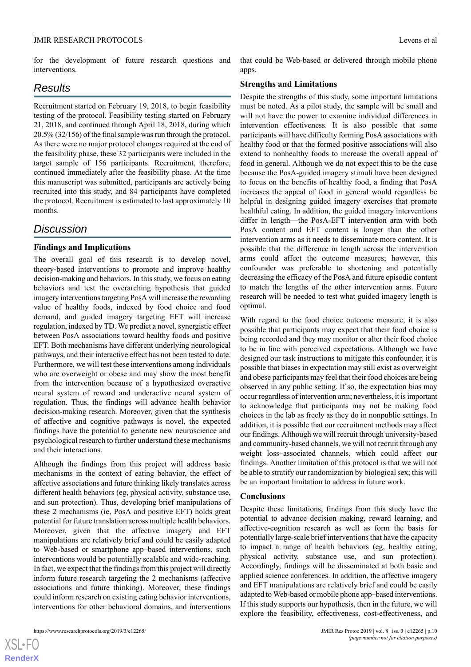for the development of future research questions and interventions.

## *Results*

Recruitment started on February 19, 2018, to begin feasibility testing of the protocol. Feasibility testing started on February 21, 2018, and continued through April 18, 2018, during which 20.5% (32/156) of the final sample was run through the protocol. As there were no major protocol changes required at the end of the feasibility phase, these 32 participants were included in the target sample of 156 participants. Recruitment, therefore, continued immediately after the feasibility phase. At the time this manuscript was submitted, participants are actively being recruited into this study, and 84 participants have completed the protocol. Recruitment is estimated to last approximately 10 months.

## *Discussion*

#### **Findings and Implications**

The overall goal of this research is to develop novel, theory-based interventions to promote and improve healthy decision-making and behaviors. In this study, we focus on eating behaviors and test the overarching hypothesis that guided imagery interventions targeting PosA will increase the rewarding value of healthy foods, indexed by food choice and food demand, and guided imagery targeting EFT will increase regulation, indexed by TD. We predict a novel, synergistic effect between PosA associations toward healthy foods and positive EFT. Both mechanisms have different underlying neurological pathways, and their interactive effect has not been tested to date. Furthermore, we will test these interventions among individuals who are overweight or obese and may show the most benefit from the intervention because of a hypothesized overactive neural system of reward and underactive neural system of regulation. Thus, the findings will advance health behavior decision-making research. Moreover, given that the synthesis of affective and cognitive pathways is novel, the expected findings have the potential to generate new neuroscience and psychological research to further understand these mechanisms and their interactions.

Although the findings from this project will address basic mechanisms in the context of eating behavior, the effect of affective associations and future thinking likely translates across different health behaviors (eg, physical activity, substance use, and sun protection). Thus, developing brief manipulations of these 2 mechanisms (ie, PosA and positive EFT) holds great potential for future translation across multiple health behaviors. Moreover, given that the affective imagery and EFT manipulations are relatively brief and could be easily adapted to Web-based or smartphone app–based interventions, such interventions would be potentially scalable and wide-reaching. In fact, we expect that the findings from this project will directly inform future research targeting the 2 mechanisms (affective associations and future thinking). Moreover, these findings could inform research on existing eating behavior interventions, interventions for other behavioral domains, and interventions

that could be Web-based or delivered through mobile phone apps.

#### **Strengths and Limitations**

Despite the strengths of this study, some important limitations must be noted. As a pilot study, the sample will be small and will not have the power to examine individual differences in intervention effectiveness. It is also possible that some participants will have difficulty forming PosA associations with healthy food or that the formed positive associations will also extend to nonhealthy foods to increase the overall appeal of food in general. Although we do not expect this to be the case because the PosA-guided imagery stimuli have been designed to focus on the benefits of healthy food, a finding that PosA increases the appeal of food in general would regardless be helpful in designing guided imagery exercises that promote healthful eating. In addition, the guided imagery interventions differ in length—the PosA-EFT intervention arm with both PosA content and EFT content is longer than the other intervention arms as it needs to disseminate more content. It is possible that the difference in length across the intervention arms could affect the outcome measures; however, this confounder was preferable to shortening and potentially decreasing the efficacy of the PosA and future episodic content to match the lengths of the other intervention arms. Future research will be needed to test what guided imagery length is optimal.

With regard to the food choice outcome measure, it is also possible that participants may expect that their food choice is being recorded and they may monitor or alter their food choice to be in line with perceived expectations. Although we have designed our task instructions to mitigate this confounder, it is possible that biases in expectation may still exist as overweight and obese participants may feel that their food choices are being observed in any public setting. If so, the expectation bias may occur regardless of intervention arm; nevertheless, it is important to acknowledge that participants may not be making food choices in the lab as freely as they do in nonpublic settings. In addition, it is possible that our recruitment methods may affect our findings. Although we will recruit through university-based and community-based channels, we will not recruit through any weight loss–associated channels, which could affect our findings. Another limitation of this protocol is that we will not be able to stratify our randomization by biological sex; this will be an important limitation to address in future work.

#### **Conclusions**

Despite these limitations, findings from this study have the potential to advance decision making, reward learning, and affective-cognition research as well as form the basis for potentially large-scale brief interventions that have the capacity to impact a range of health behaviors (eg, healthy eating, physical activity, substance use, and sun protection). Accordingly, findings will be disseminated at both basic and applied science conferences. In addition, the affective imagery and EFT manipulations are relatively brief and could be easily adapted to Web-based or mobile phone app–based interventions. If this study supports our hypothesis, then in the future, we will explore the feasibility, effectiveness, cost-effectiveness, and

 $XSI - F($ **[RenderX](http://www.renderx.com/)**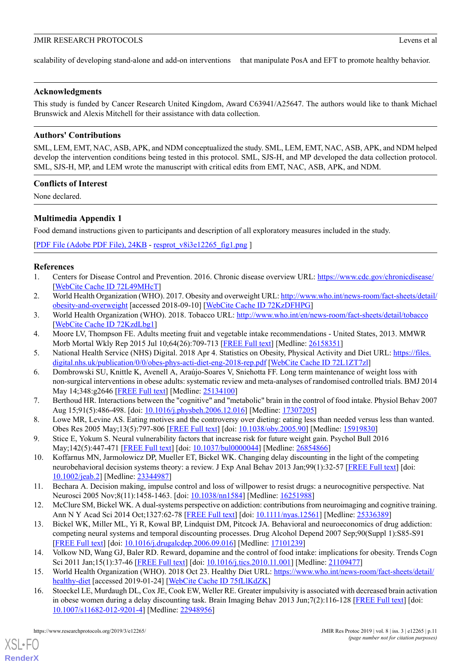scalability of developing stand-alone and add-on interventions that manipulate PosA and EFT to promote healthy behavior.

#### **Acknowledgments**

This study is funded by Cancer Research United Kingdom, Award C63941/A25647. The authors would like to thank Michael Brunswick and Alexis Mitchell for their assistance with data collection.

### **Authors' Contributions**

SML, LEM, EMT, NAC, ASB, APK, and NDM conceptualized the study. SML, LEM, EMT, NAC, ASB, APK, and NDM helped develop the intervention conditions being tested in this protocol. SML, SJS-H, and MP developed the data collection protocol. SML, SJS-H, MP, and LEM wrote the manuscript with critical edits from EMT, NAC, ASB, APK, and NDM.

#### **Conflicts of Interest**

<span id="page-10-16"></span>None declared.

## **Multimedia Appendix 1**

Food demand instructions given to participants and description of all exploratory measures included in the study.

<span id="page-10-0"></span>[[PDF File \(Adobe PDF File\), 24KB](https://www.researchprotocols.org/article/downloadSuppFile/12265/89724) - [resprot\\_v8i3e12265\\_fig1.png](https://www.researchprotocols.org/article/downloadSuppFile/12265/89724) ]

## <span id="page-10-1"></span>**References**

- <span id="page-10-2"></span>1. Centers for Disease Control and Prevention. 2016. Chronic disease overview URL: <https://www.cdc.gov/chronicdisease/> [[WebCite Cache ID 72L49MHcT](http://www.webcitation.org/72L49MHcT)]
- <span id="page-10-3"></span>2. World Health Organization (WHO). 2017. Obesity and overweight URL: [http://www.who.int/news-room/fact-sheets/detail/](http://www.who.int/news-room/fact-sheets/detail/obesity-and-overweight) [obesity-and-overweight](http://www.who.int/news-room/fact-sheets/detail/obesity-and-overweight) [accessed 2018-09-10] [\[WebCite Cache ID 72KzDFHPG\]](http://www.webcitation.org/72KzDFHPG)
- <span id="page-10-4"></span>3. World Health Organization (WHO). 2018. Tobacco URL:<http://www.who.int/en/news-room/fact-sheets/detail/tobacco> [[WebCite Cache ID 72KzdLbg1](http://www.webcitation.org/72KzdLbg1)]
- <span id="page-10-5"></span>4. Moore LV, Thompson FE. Adults meeting fruit and vegetable intake recommendations - United States, 2013. MMWR Morb Mortal Wkly Rep 2015 Jul 10;64(26):709-713 [\[FREE Full text\]](https://www.cdc.gov/mmwr/preview/mmwrhtml/mm6426a1.htm) [Medline: [26158351](http://www.ncbi.nlm.nih.gov/entrez/query.fcgi?cmd=Retrieve&db=PubMed&list_uids=26158351&dopt=Abstract)]
- <span id="page-10-6"></span>5. National Health Service (NHS) Digital. 2018 Apr 4. Statistics on Obesity, Physical Activity and Diet URL: [https://files.](https://files.digital.nhs.uk/publication/0/0/obes-phys-acti-diet-eng-2018-rep.pdf) [digital.nhs.uk/publication/0/0/obes-phys-acti-diet-eng-2018-rep.pdf](https://files.digital.nhs.uk/publication/0/0/obes-phys-acti-diet-eng-2018-rep.pdf) [\[WebCite Cache ID 72L1ZT7zl\]](http://www.webcitation.org/72L1ZT7zl)
- <span id="page-10-7"></span>6. Dombrowski SU, Knittle K, Avenell A, Araújo-Soares V, Sniehotta FF. Long term maintenance of weight loss with non-surgical interventions in obese adults: systematic review and meta-analyses of randomised controlled trials. BMJ 2014 May 14;348:g2646 [[FREE Full text](http://www.bmj.com/cgi/pmidlookup?view=long&pmid=25134100)] [Medline: [25134100\]](http://www.ncbi.nlm.nih.gov/entrez/query.fcgi?cmd=Retrieve&db=PubMed&list_uids=25134100&dopt=Abstract)
- <span id="page-10-8"></span>7. Berthoud HR. Interactions between the "cognitive" and "metabolic" brain in the control of food intake. Physiol Behav 2007 Aug 15;91(5):486-498. [doi: [10.1016/j.physbeh.2006.12.016\]](http://dx.doi.org/10.1016/j.physbeh.2006.12.016) [Medline: [17307205](http://www.ncbi.nlm.nih.gov/entrez/query.fcgi?cmd=Retrieve&db=PubMed&list_uids=17307205&dopt=Abstract)]
- <span id="page-10-9"></span>8. Lowe MR, Levine AS. Eating motives and the controversy over dieting: eating less than needed versus less than wanted. Obes Res 2005 May;13(5):797-806 [\[FREE Full text\]](https://doi.org/10.1038/oby.2005.90) [doi: [10.1038/oby.2005.90](http://dx.doi.org/10.1038/oby.2005.90)] [Medline: [15919830](http://www.ncbi.nlm.nih.gov/entrez/query.fcgi?cmd=Retrieve&db=PubMed&list_uids=15919830&dopt=Abstract)]
- <span id="page-10-10"></span>9. Stice E, Yokum S. Neural vulnerability factors that increase risk for future weight gain. Psychol Bull 2016 May;142(5):447-471 [\[FREE Full text\]](http://europepmc.org/abstract/MED/26854866) [doi: [10.1037/bul0000044\]](http://dx.doi.org/10.1037/bul0000044) [Medline: [26854866\]](http://www.ncbi.nlm.nih.gov/entrez/query.fcgi?cmd=Retrieve&db=PubMed&list_uids=26854866&dopt=Abstract)
- <span id="page-10-11"></span>10. Koffarnus MN, Jarmolowicz DP, Mueller ET, Bickel WK. Changing delay discounting in the light of the competing neurobehavioral decision systems theory: a review. J Exp Anal Behav 2013 Jan;99(1):32-57 [\[FREE Full text\]](http://europepmc.org/abstract/MED/23344987) [doi: [10.1002/jeab.2\]](http://dx.doi.org/10.1002/jeab.2) [Medline: [23344987\]](http://www.ncbi.nlm.nih.gov/entrez/query.fcgi?cmd=Retrieve&db=PubMed&list_uids=23344987&dopt=Abstract)
- <span id="page-10-12"></span>11. Bechara A. Decision making, impulse control and loss of willpower to resist drugs: a neurocognitive perspective. Nat Neurosci 2005 Nov;8(11):1458-1463. [doi: [10.1038/nn1584\]](http://dx.doi.org/10.1038/nn1584) [Medline: [16251988](http://www.ncbi.nlm.nih.gov/entrez/query.fcgi?cmd=Retrieve&db=PubMed&list_uids=16251988&dopt=Abstract)]
- <span id="page-10-13"></span>12. McClure SM, Bickel WK. A dual-systems perspective on addiction: contributions from neuroimaging and cognitive training. Ann N Y Acad Sci 2014 Oct;1327:62-78 [\[FREE Full text\]](http://europepmc.org/abstract/MED/25336389) [doi: [10.1111/nyas.12561\]](http://dx.doi.org/10.1111/nyas.12561) [Medline: [25336389\]](http://www.ncbi.nlm.nih.gov/entrez/query.fcgi?cmd=Retrieve&db=PubMed&list_uids=25336389&dopt=Abstract)
- <span id="page-10-15"></span><span id="page-10-14"></span>13. Bickel WK, Miller ML, Yi R, Kowal BP, Lindquist DM, Pitcock JA. Behavioral and neuroeconomics of drug addiction: competing neural systems and temporal discounting processes. Drug Alcohol Depend 2007 Sep;90(Suppl 1):S85-S91 [[FREE Full text](http://europepmc.org/abstract/MED/17101239)] [doi: [10.1016/j.drugalcdep.2006.09.016\]](http://dx.doi.org/10.1016/j.drugalcdep.2006.09.016) [Medline: [17101239\]](http://www.ncbi.nlm.nih.gov/entrez/query.fcgi?cmd=Retrieve&db=PubMed&list_uids=17101239&dopt=Abstract)
- 14. Volkow ND, Wang GJ, Baler RD. Reward, dopamine and the control of food intake: implications for obesity. Trends Cogn Sci 2011 Jan;15(1):37-46 [[FREE Full text](http://europepmc.org/abstract/MED/21109477)] [doi: [10.1016/j.tics.2010.11.001\]](http://dx.doi.org/10.1016/j.tics.2010.11.001) [Medline: [21109477](http://www.ncbi.nlm.nih.gov/entrez/query.fcgi?cmd=Retrieve&db=PubMed&list_uids=21109477&dopt=Abstract)]
- 15. World Health Organization (WHO). 2018 Oct 23. Healthy Diet URL: [https://www.who.int/news-room/fact-sheets/detail/](https://www.who.int/news-room/fact-sheets/detail/healthy-diet) [healthy-diet](https://www.who.int/news-room/fact-sheets/detail/healthy-diet) [accessed 2019-01-24] [\[WebCite Cache ID 75fLlKdZK\]](http://www.webcitation.org/75fLlKdZK)
- 16. Stoeckel LE, Murdaugh DL, Cox JE, Cook EW, Weller RE. Greater impulsivity is associated with decreased brain activation in obese women during a delay discounting task. Brain Imaging Behav 2013 Jun;7(2):116-128 [[FREE Full text](http://europepmc.org/abstract/MED/22948956)] [doi: [10.1007/s11682-012-9201-4](http://dx.doi.org/10.1007/s11682-012-9201-4)] [Medline: [22948956](http://www.ncbi.nlm.nih.gov/entrez/query.fcgi?cmd=Retrieve&db=PubMed&list_uids=22948956&dopt=Abstract)]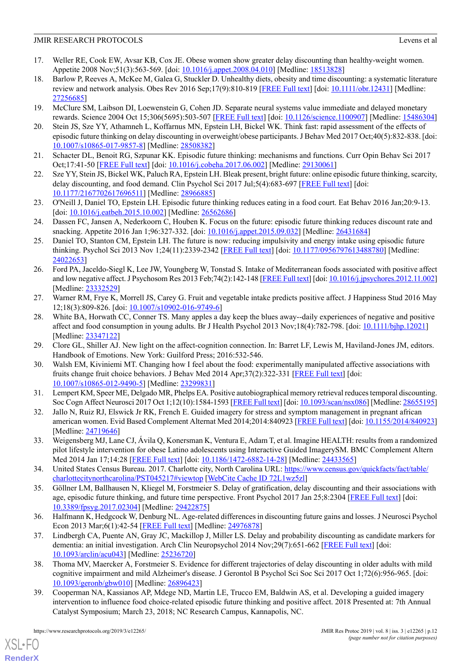- 17. Weller RE, Cook EW, Avsar KB, Cox JE. Obese women show greater delay discounting than healthy-weight women. Appetite 2008 Nov;51(3):563-569. [doi: [10.1016/j.appet.2008.04.010\]](http://dx.doi.org/10.1016/j.appet.2008.04.010) [Medline: [18513828](http://www.ncbi.nlm.nih.gov/entrez/query.fcgi?cmd=Retrieve&db=PubMed&list_uids=18513828&dopt=Abstract)]
- <span id="page-11-0"></span>18. Barlow P, Reeves A, McKee M, Galea G, Stuckler D. Unhealthy diets, obesity and time discounting: a systematic literature review and network analysis. Obes Rev 2016 Sep;17(9):810-819 [\[FREE Full text\]](http://europepmc.org/abstract/MED/27256685) [doi: [10.1111/obr.12431](http://dx.doi.org/10.1111/obr.12431)] [Medline: [27256685](http://www.ncbi.nlm.nih.gov/entrez/query.fcgi?cmd=Retrieve&db=PubMed&list_uids=27256685&dopt=Abstract)]
- <span id="page-11-2"></span><span id="page-11-1"></span>19. McClure SM, Laibson DI, Loewenstein G, Cohen JD. Separate neural systems value immediate and delayed monetary rewards. Science 2004 Oct 15;306(5695):503-507 [\[FREE Full text\]](http://www.sciencemag.org/cgi/pmidlookup?view=long&pmid=15486304) [doi: [10.1126/science.1100907\]](http://dx.doi.org/10.1126/science.1100907) [Medline: [15486304](http://www.ncbi.nlm.nih.gov/entrez/query.fcgi?cmd=Retrieve&db=PubMed&list_uids=15486304&dopt=Abstract)]
- <span id="page-11-3"></span>20. Stein JS, Sze YY, Athamneh L, Koffarnus MN, Epstein LH, Bickel WK. Think fast: rapid assessment of the effects of episodic future thinking on delay discounting in overweight/obese participants. J Behav Med 2017 Oct;40(5):832-838. [doi: [10.1007/s10865-017-9857-8\]](http://dx.doi.org/10.1007/s10865-017-9857-8) [Medline: [28508382](http://www.ncbi.nlm.nih.gov/entrez/query.fcgi?cmd=Retrieve&db=PubMed&list_uids=28508382&dopt=Abstract)]
- <span id="page-11-4"></span>21. Schacter DL, Benoit RG, Szpunar KK. Episodic future thinking: mechanisms and functions. Curr Opin Behav Sci 2017 Oct;17:41-50 [[FREE Full text](http://europepmc.org/abstract/MED/29130061)] [doi: [10.1016/j.cobeha.2017.06.002\]](http://dx.doi.org/10.1016/j.cobeha.2017.06.002) [Medline: [29130061](http://www.ncbi.nlm.nih.gov/entrez/query.fcgi?cmd=Retrieve&db=PubMed&list_uids=29130061&dopt=Abstract)]
- <span id="page-11-5"></span>22. Sze YY, Stein JS, Bickel WK, Paluch RA, Epstein LH. Bleak present, bright future: online episodic future thinking, scarcity, delay discounting, and food demand. Clin Psychol Sci 2017 Jul;5(4):683-697 [\[FREE Full text\]](http://europepmc.org/abstract/MED/28966885) [doi: [10.1177/2167702617696511](http://dx.doi.org/10.1177/2167702617696511)] [Medline: [28966885\]](http://www.ncbi.nlm.nih.gov/entrez/query.fcgi?cmd=Retrieve&db=PubMed&list_uids=28966885&dopt=Abstract)
- <span id="page-11-6"></span>23. O'Neill J, Daniel TO, Epstein LH. Episodic future thinking reduces eating in a food court. Eat Behav 2016 Jan;20:9-13. [doi: [10.1016/j.eatbeh.2015.10.002\]](http://dx.doi.org/10.1016/j.eatbeh.2015.10.002) [Medline: [26562686\]](http://www.ncbi.nlm.nih.gov/entrez/query.fcgi?cmd=Retrieve&db=PubMed&list_uids=26562686&dopt=Abstract)
- <span id="page-11-7"></span>24. Dassen FC, Jansen A, Nederkoorn C, Houben K. Focus on the future: episodic future thinking reduces discount rate and snacking. Appetite 2016 Jan 1;96:327-332. [doi: [10.1016/j.appet.2015.09.032](http://dx.doi.org/10.1016/j.appet.2015.09.032)] [Medline: [26431684\]](http://www.ncbi.nlm.nih.gov/entrez/query.fcgi?cmd=Retrieve&db=PubMed&list_uids=26431684&dopt=Abstract)
- <span id="page-11-8"></span>25. Daniel TO, Stanton CM, Epstein LH. The future is now: reducing impulsivity and energy intake using episodic future thinking. Psychol Sci 2013 Nov 1;24(11):2339-2342 [\[FREE Full text\]](http://europepmc.org/abstract/MED/24022653) [doi: [10.1177/0956797613488780](http://dx.doi.org/10.1177/0956797613488780)] [Medline: [24022653](http://www.ncbi.nlm.nih.gov/entrez/query.fcgi?cmd=Retrieve&db=PubMed&list_uids=24022653&dopt=Abstract)]
- <span id="page-11-9"></span>26. Ford PA, Jaceldo-Siegl K, Lee JW, Youngberg W, Tonstad S. Intake of Mediterranean foods associated with positive affect and low negative affect. J Psychosom Res 2013 Feb;74(2):142-148 [[FREE Full text](http://europepmc.org/abstract/MED/23332529)] [doi: [10.1016/j.jpsychores.2012.11.002\]](http://dx.doi.org/10.1016/j.jpsychores.2012.11.002) [Medline: [23332529](http://www.ncbi.nlm.nih.gov/entrez/query.fcgi?cmd=Retrieve&db=PubMed&list_uids=23332529&dopt=Abstract)]
- <span id="page-11-10"></span>27. Warner RM, Frye K, Morrell JS, Carey G. Fruit and vegetable intake predicts positive affect. J Happiness Stud 2016 May 12;18(3):809-826. [doi: [10.1007/s10902-016-9749-6\]](http://dx.doi.org/10.1007/s10902-016-9749-6)
- <span id="page-11-12"></span><span id="page-11-11"></span>28. White BA, Horwath CC, Conner TS. Many apples a day keep the blues away--daily experiences of negative and positive affect and food consumption in young adults. Br J Health Psychol 2013 Nov;18(4):782-798. [doi: [10.1111/bjhp.12021](http://dx.doi.org/10.1111/bjhp.12021)] [Medline: [23347122](http://www.ncbi.nlm.nih.gov/entrez/query.fcgi?cmd=Retrieve&db=PubMed&list_uids=23347122&dopt=Abstract)]
- <span id="page-11-13"></span>29. Clore GL, Shiller AJ. New light on the affect-cognition connection. In: Barret LF, Lewis M, Haviland-Jones JM, editors. Handbook of Emotions. New York: Guilford Press; 2016:532-546.
- <span id="page-11-14"></span>30. Walsh EM, Kiviniemi MT. Changing how I feel about the food: experimentally manipulated affective associations with fruits change fruit choice behaviors. J Behav Med 2014 Apr;37(2):322-331 [[FREE Full text](http://europepmc.org/abstract/MED/23299831)] [doi: [10.1007/s10865-012-9490-5\]](http://dx.doi.org/10.1007/s10865-012-9490-5) [Medline: [23299831](http://www.ncbi.nlm.nih.gov/entrez/query.fcgi?cmd=Retrieve&db=PubMed&list_uids=23299831&dopt=Abstract)]
- <span id="page-11-15"></span>31. Lempert KM, Speer ME, Delgado MR, Phelps EA. Positive autobiographical memory retrieval reduces temporal discounting. Soc Cogn Affect Neurosci 2017 Oct 1;12(10):1584-1593 [[FREE Full text\]](http://europepmc.org/abstract/MED/28655195) [doi: [10.1093/scan/nsx086\]](http://dx.doi.org/10.1093/scan/nsx086) [Medline: [28655195](http://www.ncbi.nlm.nih.gov/entrez/query.fcgi?cmd=Retrieve&db=PubMed&list_uids=28655195&dopt=Abstract)]
- <span id="page-11-16"></span>32. Jallo N, Ruiz RJ, Elswick Jr RK, French E. Guided imagery for stress and symptom management in pregnant african american women. Evid Based Complement Alternat Med 2014;2014:840923 [[FREE Full text\]](https://dx.doi.org/10.1155/2014/840923) [doi: [10.1155/2014/840923](http://dx.doi.org/10.1155/2014/840923)] [Medline: [24719646](http://www.ncbi.nlm.nih.gov/entrez/query.fcgi?cmd=Retrieve&db=PubMed&list_uids=24719646&dopt=Abstract)]
- <span id="page-11-17"></span>33. Weigensberg MJ, Lane CJ, Ávila Q, Konersman K, Ventura E, Adam T, et al. Imagine HEALTH: results from a randomized pilot lifestyle intervention for obese Latino adolescents using Interactive Guided ImagerySM. BMC Complement Altern Med 2014 Jan 17;14:28 [\[FREE Full text\]](https://bmccomplementalternmed.biomedcentral.com/articles/10.1186/1472-6882-14-28) [doi: [10.1186/1472-6882-14-28\]](http://dx.doi.org/10.1186/1472-6882-14-28) [Medline: [24433565](http://www.ncbi.nlm.nih.gov/entrez/query.fcgi?cmd=Retrieve&db=PubMed&list_uids=24433565&dopt=Abstract)]
- <span id="page-11-18"></span>34. United States Census Bureau. 2017. Charlotte city, North Carolina URL: https://www.census.gov/quickfact/s/fact/table/ [charlottecitynorthcarolina/PST045217#viewtop](https://www.census.gov/quickfacts/fact/table/charlottecitynorthcarolina/PST045217#viewtop) [[WebCite Cache ID 72L1wz5zl](http://www.webcitation.org/72L1wz5zl)]
- <span id="page-11-20"></span>35. Göllner LM, Ballhausen N, Kliegel M, Forstmeier S. Delay of gratification, delay discounting and their associations with age, episodic future thinking, and future time perspective. Front Psychol 2017 Jan 25;8:2304 [[FREE Full text](https://dx.doi.org/10.3389/fpsyg.2017.02304)] [doi: [10.3389/fpsyg.2017.02304](http://dx.doi.org/10.3389/fpsyg.2017.02304)] [Medline: [29422875\]](http://www.ncbi.nlm.nih.gov/entrez/query.fcgi?cmd=Retrieve&db=PubMed&list_uids=29422875&dopt=Abstract)
- <span id="page-11-19"></span>36. Halfmann K, Hedgcock W, Denburg NL. Age-related differences in discounting future gains and losses. J Neurosci Psychol Econ 2013 Mar;6(1):42-54 [\[FREE Full text\]](http://europepmc.org/abstract/MED/24976878) [Medline: [24976878](http://www.ncbi.nlm.nih.gov/entrez/query.fcgi?cmd=Retrieve&db=PubMed&list_uids=24976878&dopt=Abstract)]
- <span id="page-11-21"></span>37. Lindbergh CA, Puente AN, Gray JC, Mackillop J, Miller LS. Delay and probability discounting as candidate markers for dementia: an initial investigation. Arch Clin Neuropsychol 2014 Nov;29(7):651-662 [[FREE Full text](http://europepmc.org/abstract/MED/25236720)] [doi: [10.1093/arclin/acu043](http://dx.doi.org/10.1093/arclin/acu043)] [Medline: [25236720\]](http://www.ncbi.nlm.nih.gov/entrez/query.fcgi?cmd=Retrieve&db=PubMed&list_uids=25236720&dopt=Abstract)
- 38. Thoma MV, Maercker A, Forstmeier S. Evidence for different trajectories of delay discounting in older adults with mild cognitive impairment and mild Alzheimer's disease. J Gerontol B Psychol Sci Soc Sci 2017 Oct 1;72(6):956-965. [doi: [10.1093/geronb/gbw010](http://dx.doi.org/10.1093/geronb/gbw010)] [Medline: [26896423](http://www.ncbi.nlm.nih.gov/entrez/query.fcgi?cmd=Retrieve&db=PubMed&list_uids=26896423&dopt=Abstract)]
- 39. Cooperman NA, Kassianos AP, Mdege ND, Martin LE, Trucco EM, Baldwin AS, et al. Developing a guided imagery intervention to influence food choice-related episodic future thinking and positive affect. 2018 Presented at: 7th Annual Catalyst Symposium; March 23, 2018; NC Research Campus, Kannapolis, NC.